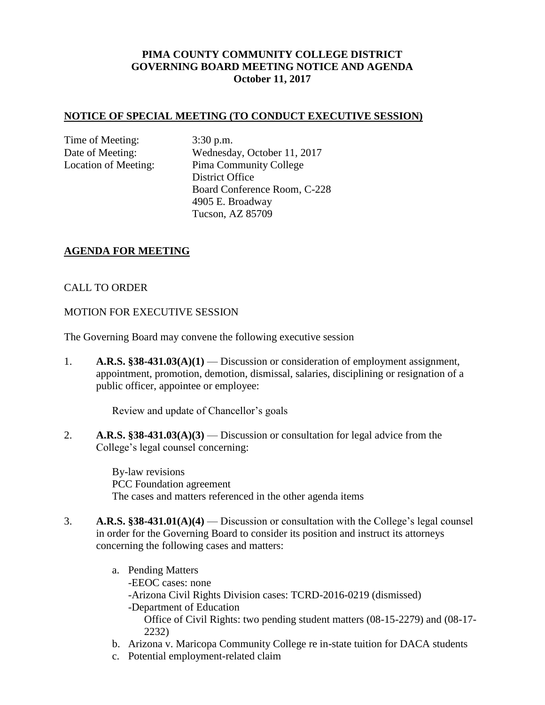# **PIMA COUNTY COMMUNITY COLLEGE DISTRICT GOVERNING BOARD MEETING NOTICE AND AGENDA October 11, 2017**

#### **NOTICE OF SPECIAL MEETING (TO CONDUCT EXECUTIVE SESSION)**

Time of Meeting: 3:30 p.m.

Date of Meeting: Wednesday, October 11, 2017 Location of Meeting: Pima Community College District Office Board Conference Room, C-228 4905 E. Broadway Tucson, AZ 85709

### **AGENDA FOR MEETING**

### CALL TO ORDER

#### MOTION FOR EXECUTIVE SESSION

The Governing Board may convene the following executive session

1. **A.R.S. §38-431.03(A)(1)** — Discussion or consideration of employment assignment, appointment, promotion, demotion, dismissal, salaries, disciplining or resignation of a public officer, appointee or employee:

Review and update of Chancellor's goals

2. **A.R.S. §38-431.03(A)(3)** — Discussion or consultation for legal advice from the College's legal counsel concerning:

> By-law revisions PCC Foundation agreement The cases and matters referenced in the other agenda items

- 3. **A.R.S. §38-431.01(A)(4)** Discussion or consultation with the College's legal counsel in order for the Governing Board to consider its position and instruct its attorneys concerning the following cases and matters:
	- a. Pending Matters -EEOC cases: none -Arizona Civil Rights Division cases: TCRD-2016-0219 (dismissed) -Department of Education Office of Civil Rights: two pending student matters (08-15-2279) and (08-17- 2232)
	- b. Arizona v. Maricopa Community College re in-state tuition for DACA students
	- c. Potential employment-related claim